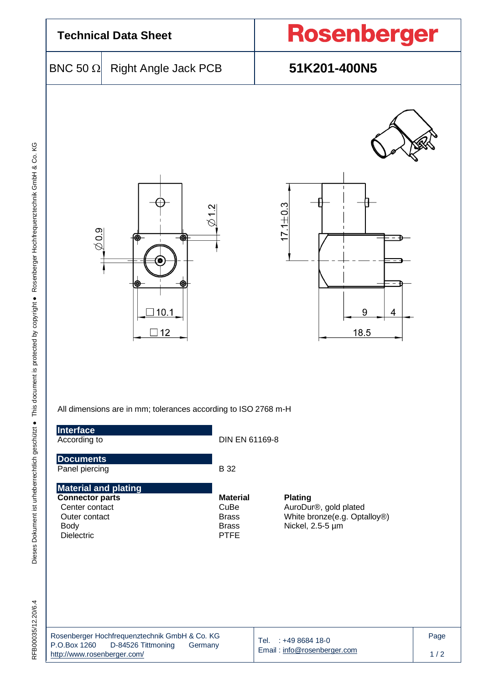

All dimensions are in mm; tolerances according to ISO 2768 m-H

| Interface<br>According to                                                                                                    | DIN EN 61169-8                                                         |                                                                                             |      |
|------------------------------------------------------------------------------------------------------------------------------|------------------------------------------------------------------------|---------------------------------------------------------------------------------------------|------|
| <b>Documents</b><br>Panel piercing                                                                                           | B 32                                                                   |                                                                                             |      |
| <b>Material and plating</b><br><b>Connector parts</b><br>Center contact<br>Outer contact<br><b>Body</b><br><b>Dielectric</b> | <b>Material</b><br>CuBe<br><b>Brass</b><br><b>Brass</b><br><b>PTFE</b> | <b>Plating</b><br>AuroDur®, gold plated<br>White bronze(e.g. Optalloy®)<br>Nickel, 2.5-5 µm |      |
| Rosenberger Hochfrequenztechnik GmbH & Co. KG<br>P.O.Box 1260<br>D-84526 Tittmoning<br>Germany                               |                                                                        | Tel.<br>$: +49868418-0$                                                                     | Page |

Email [: info@rosenberger.com](mailto:info@rosenberger.com)